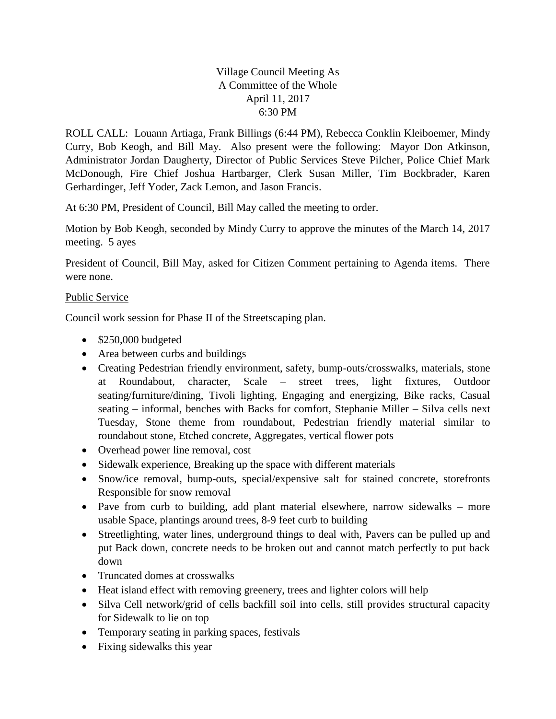## Village Council Meeting As A Committee of the Whole April 11, 2017 6:30 PM

ROLL CALL: Louann Artiaga, Frank Billings (6:44 PM), Rebecca Conklin Kleiboemer, Mindy Curry, Bob Keogh, and Bill May. Also present were the following: Mayor Don Atkinson, Administrator Jordan Daugherty, Director of Public Services Steve Pilcher, Police Chief Mark McDonough, Fire Chief Joshua Hartbarger, Clerk Susan Miller, Tim Bockbrader, Karen Gerhardinger, Jeff Yoder, Zack Lemon, and Jason Francis.

At 6:30 PM, President of Council, Bill May called the meeting to order.

Motion by Bob Keogh, seconded by Mindy Curry to approve the minutes of the March 14, 2017 meeting. 5 ayes

President of Council, Bill May, asked for Citizen Comment pertaining to Agenda items. There were none.

## Public Service

Council work session for Phase II of the Streetscaping plan.

- $\bullet$  \$250,000 budgeted
- Area between curbs and buildings
- Creating Pedestrian friendly environment, safety, bump-outs/crosswalks, materials, stone at Roundabout, character, Scale – street trees, light fixtures, Outdoor seating/furniture/dining, Tivoli lighting, Engaging and energizing, Bike racks, Casual seating – informal, benches with Backs for comfort, Stephanie Miller – Silva cells next Tuesday, Stone theme from roundabout, Pedestrian friendly material similar to roundabout stone, Etched concrete, Aggregates, vertical flower pots
- Overhead power line removal, cost
- Sidewalk experience, Breaking up the space with different materials
- Snow/ice removal, bump-outs, special/expensive salt for stained concrete, storefronts Responsible for snow removal
- Pave from curb to building, add plant material elsewhere, narrow sidewalks more usable Space, plantings around trees, 8-9 feet curb to building
- Streetlighting, water lines, underground things to deal with, Pavers can be pulled up and put Back down, concrete needs to be broken out and cannot match perfectly to put back down
- Truncated domes at crosswalks
- Heat island effect with removing greenery, trees and lighter colors will help
- Silva Cell network/grid of cells backfill soil into cells, still provides structural capacity for Sidewalk to lie on top
- Temporary seating in parking spaces, festivals
- Fixing sidewalks this year